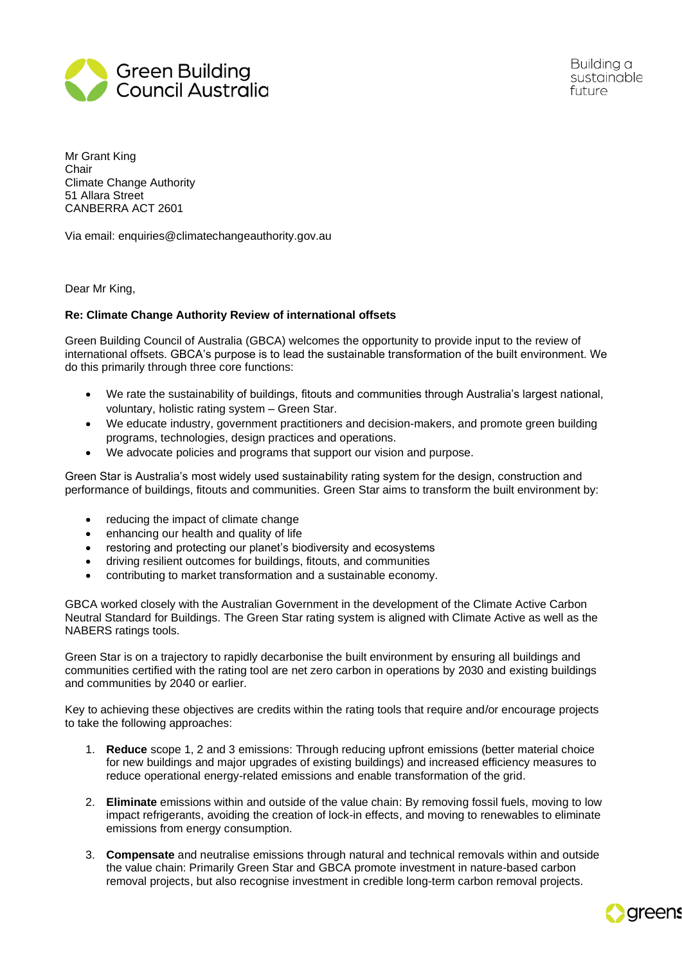

Building a sustainable future

Mr Grant King Chair Climate Change Authority 51 Allara Street CANBERRA ACT 2601

Via email: enquiries@climatechangeauthority.gov.au

Dear Mr King,

## **Re: Climate Change Authority Review of international offsets**

Green Building Council of Australia (GBCA) welcomes the opportunity to provide input to the review of international offsets. GBCA's purpose is to lead the sustainable transformation of the built environment. We do this primarily through three core functions:

- We rate the sustainability of buildings, fitouts and communities through Australia's largest national, voluntary, holistic rating system – Green Star.
- We educate industry, government practitioners and decision-makers, and promote green building programs, technologies, design practices and operations.
- We advocate policies and programs that support our vision and purpose.

Green Star is Australia's most widely used sustainability rating system for the design, construction and performance of buildings, fitouts and communities. Green Star aims to transform the built environment by:

- reducing the impact of climate change
- enhancing our health and quality of life
- restoring and protecting our planet's biodiversity and ecosystems
- driving resilient outcomes for buildings, fitouts, and communities
- contributing to market transformation and a sustainable economy.

GBCA worked closely with the Australian Government in the development of the Climate Active Carbon Neutral Standard for Buildings. The Green Star rating system is aligned with Climate Active as well as the NABERS ratings tools.

Green Star is on a trajectory to rapidly decarbonise the built environment by ensuring all buildings and communities certified with the rating tool are net zero carbon in operations by 2030 and existing buildings and communities by 2040 or earlier.

Key to achieving these objectives are credits within the rating tools that require and/or encourage projects to take the following approaches:

- 1. **Reduce** scope 1, 2 and 3 emissions: Through reducing upfront emissions (better material choice for new buildings and major upgrades of existing buildings) and increased efficiency measures to reduce operational energy-related emissions and enable transformation of the grid.
- 2. **Eliminate** emissions within and outside of the value chain: By removing fossil fuels, moving to low impact refrigerants, avoiding the creation of lock-in effects, and moving to renewables to eliminate emissions from energy consumption.
- 3. **Compensate** and neutralise emissions through natural and technical removals within and outside the value chain: Primarily Green Star and GBCA promote investment in nature-based carbon removal projects, but also recognise investment in credible long-term carbon removal projects.